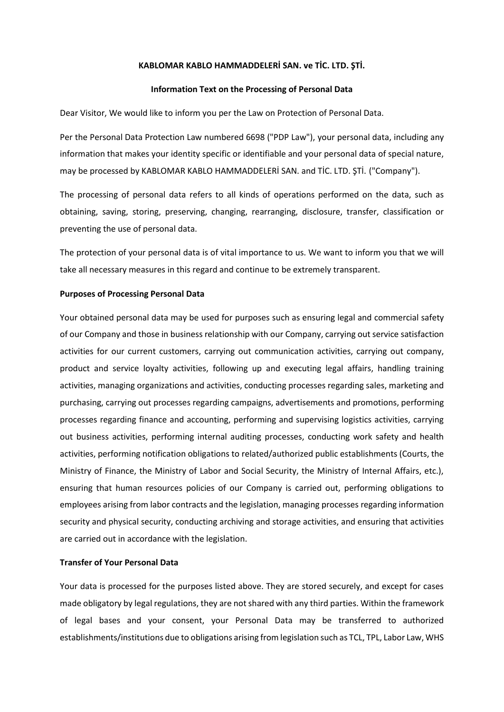# **KABLOMAR KABLO HAMMADDELERİ SAN. ve TİC. LTD. ŞTİ.**

## **Information Text on the Processing of Personal Data**

Dear Visitor, We would like to inform you per the Law on Protection of Personal Data.

Per the Personal Data Protection Law numbered 6698 ("PDP Law"), your personal data, including any information that makes your identity specific or identifiable and your personal data of special nature, may be processed by KABLOMAR KABLO HAMMADDELERİ SAN. and TİC. LTD. ŞTİ. ("Company").

The processing of personal data refers to all kinds of operations performed on the data, such as obtaining, saving, storing, preserving, changing, rearranging, disclosure, transfer, classification or preventing the use of personal data.

The protection of your personal data is of vital importance to us. We want to inform you that we will take all necessary measures in this regard and continue to be extremely transparent.

## **Purposes of Processing Personal Data**

Your obtained personal data may be used for purposes such as ensuring legal and commercial safety of our Company and those in business relationship with our Company, carrying out service satisfaction activities for our current customers, carrying out communication activities, carrying out company, product and service loyalty activities, following up and executing legal affairs, handling training activities, managing organizations and activities, conducting processes regarding sales, marketing and purchasing, carrying out processes regarding campaigns, advertisements and promotions, performing processes regarding finance and accounting, performing and supervising logistics activities, carrying out business activities, performing internal auditing processes, conducting work safety and health activities, performing notification obligations to related/authorized public establishments (Courts, the Ministry of Finance, the Ministry of Labor and Social Security, the Ministry of Internal Affairs, etc.), ensuring that human resources policies of our Company is carried out, performing obligations to employees arising from labor contracts and the legislation, managing processes regarding information security and physical security, conducting archiving and storage activities, and ensuring that activities are carried out in accordance with the legislation.

# **Transfer of Your Personal Data**

Your data is processed for the purposes listed above. They are stored securely, and except for cases made obligatory by legal regulations, they are not shared with any third parties. Within the framework of legal bases and your consent, your Personal Data may be transferred to authorized establishments/institutions due to obligations arising from legislation such as TCL, TPL, Labor Law, WHS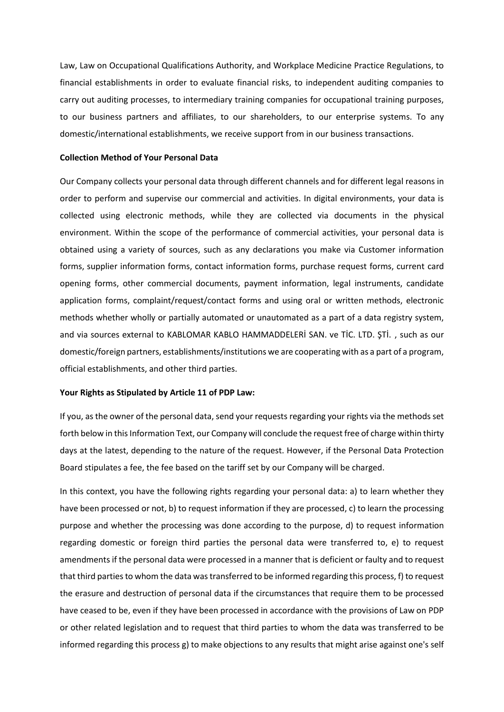Law, Law on Occupational Qualifications Authority, and Workplace Medicine Practice Regulations, to financial establishments in order to evaluate financial risks, to independent auditing companies to carry out auditing processes, to intermediary training companies for occupational training purposes, to our business partners and affiliates, to our shareholders, to our enterprise systems. To any domestic/international establishments, we receive support from in our business transactions.

#### **Collection Method of Your Personal Data**

Our Company collects your personal data through different channels and for different legal reasons in order to perform and supervise our commercial and activities. In digital environments, your data is collected using electronic methods, while they are collected via documents in the physical environment. Within the scope of the performance of commercial activities, your personal data is obtained using a variety of sources, such as any declarations you make via Customer information forms, supplier information forms, contact information forms, purchase request forms, current card opening forms, other commercial documents, payment information, legal instruments, candidate application forms, complaint/request/contact forms and using oral or written methods, electronic methods whether wholly or partially automated or unautomated as a part of a data registry system, and via sources external to KABLOMAR KABLO HAMMADDELERİ SAN. ve TİC. LTD. ŞTİ. , such as our domestic/foreign partners, establishments/institutions we are cooperating with as a part of a program, official establishments, and other third parties.

## **Your Rights as Stipulated by Article 11 of PDP Law:**

If you, as the owner of the personal data, send your requests regarding your rights via the methods set forth below in this Information Text, our Company will conclude the request free of charge within thirty days at the latest, depending to the nature of the request. However, if the Personal Data Protection Board stipulates a fee, the fee based on the tariff set by our Company will be charged.

In this context, you have the following rights regarding your personal data: a) to learn whether they have been processed or not, b) to request information if they are processed, c) to learn the processing purpose and whether the processing was done according to the purpose, d) to request information regarding domestic or foreign third parties the personal data were transferred to, e) to request amendments if the personal data were processed in a manner that is deficient or faulty and to request that third parties to whom the data was transferred to be informed regarding this process, f) to request the erasure and destruction of personal data if the circumstances that require them to be processed have ceased to be, even if they have been processed in accordance with the provisions of Law on PDP or other related legislation and to request that third parties to whom the data was transferred to be informed regarding this process g) to make objections to any results that might arise against one's self